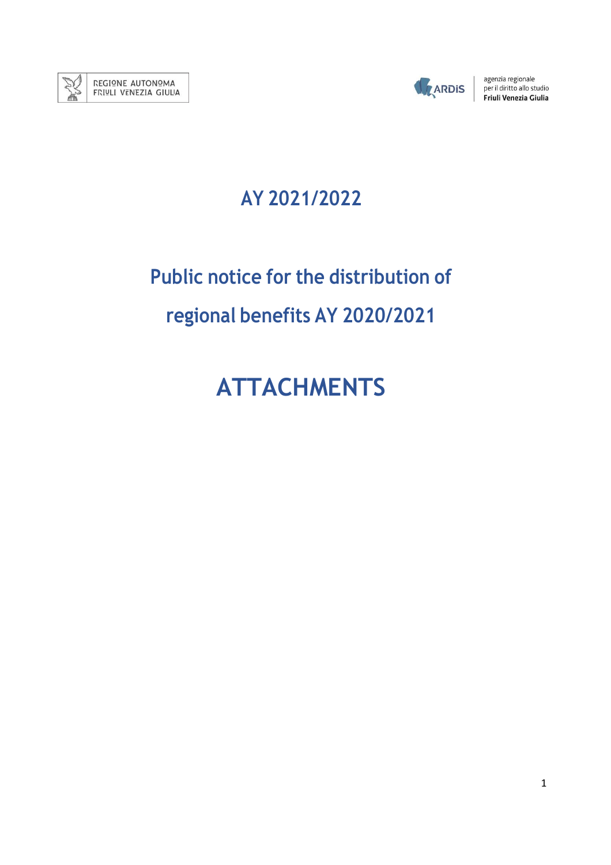



agenzia regionale<br>
per il diritto allo studio<br>
Friuli Venezia Giulia

## **AY 2021/2022**

# **Public notice for the distribution of regional benefits AY 2020/2021**

# **ATTACHMENTS**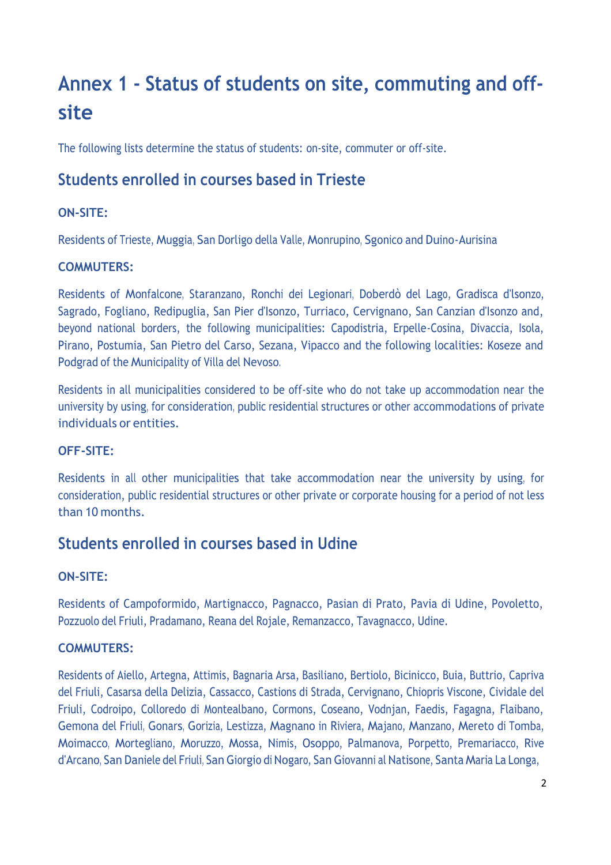## **Annex 1 - Status of students on site, commuting and offsite**

The following lists determine the status of students: on-site, commuter or off-site.

## **Students enrolled in courses based in Trieste**

#### **ON-SITE:**

Residents of Trieste, Muggia, San Dorligo della Valle, Monrupino, Sgonico and Duino-Aurisina

#### **COMMUTERS:**

Residents of Monfalcone, Staranzano, Ronchi dei Legionari, Doberdò del Lago, Gradisca d'lsonzo, Sagrado, Fogliano, Redipuglia, San Pier d'Isonzo, Turriaco, Cervignano, San Canzian d'Isonzo and, beyond national borders, the following municipalities: Capodistria, Erpelle-Cosina, Divaccia, Isola, Pirano, Postumia, San Pietro del Carso, Sezana, Vipacco and the following localities: Koseze and Podgrad of the Municipality of Villa del Nevoso.

Residents in all municipalities considered to be off-site who do not take up accommodation near the university by using, for consideration, public residential structures or other accommodations of private individuals or entities.

#### **OFF-SITE:**

Residents in all other municipalities that take accommodation near the university by using, for consideration, public residential structures or other private or corporate housing for a period of not less than 10 months.

## **Students enrolled in courses based in Udine**

#### **ON-SITE:**

Residents of Campoformido, Martignacco, Pagnacco, Pasian di Prato, Pavia di Udine, Povoletto, Pozzuolo del Friuli, Pradamano, Reana del Rojale, Remanzacco, Tavagnacco, Udine.

#### **COMMUTERS:**

Residents of Aiello, Artegna, Attimis, Bagnaria Arsa, Basiliano, Bertiolo, Bicinicco, Buia, Buttrio, Capriva del Friuli, Casarsa della Delizia, Cassacco, Castions di Strada, Cervignano, Chiopris Viscone, Cividale del Friuli, Codroipo, Colloredo di Montealbano, Cormons, Coseano, Vodnjan, Faedis, Fagagna, Flaibano, Gemona del Friuli, Gonars, Gorizia, Lestizza, Magnano in Riviera, Majano, Manzano, Mereto di Tomba, Moimacco, Mortegliano, Moruzzo, Mossa, Nimis, Osoppo, Palmanova, Porpetto, Premariacco, Rive d'Arcano, San Daniele del Friuli, San Giorgio di Nogaro, San Giovanni al Natisone, Santa Maria La Longa,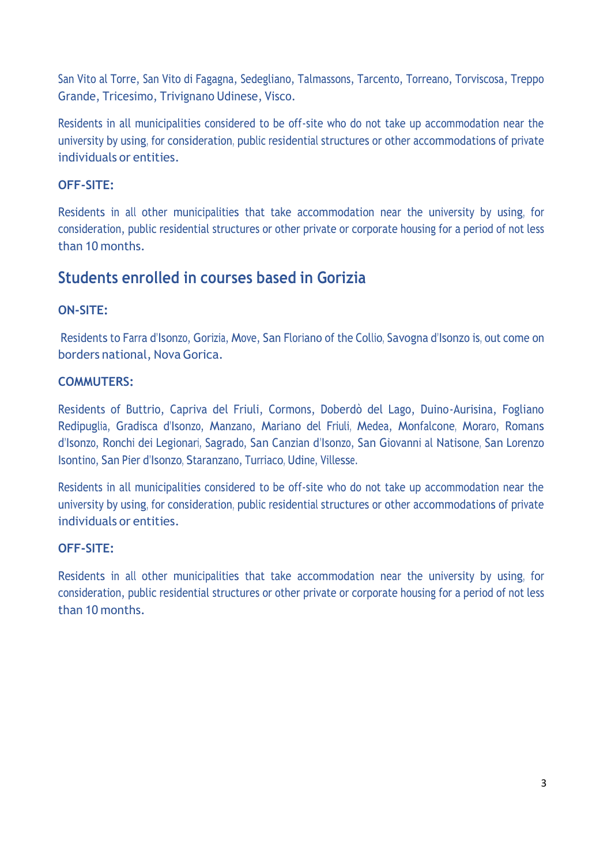San Vito al Torre, San Vito di Fagagna, Sedegliano, Talmassons, Tarcento, Torreano, Torviscosa, Treppo Grande, Tricesimo, Trivignano Udinese, Visco.

Residents in all municipalities considered to be off-site who do not take up accommodation near the university by using, for consideration, public residential structures or other accommodations of private individuals or entities.

#### **OFF-SITE:**

Residents in all other municipalities that take accommodation near the university by using, for consideration, public residential structures or other private or corporate housing for a period of not less than 10 months.

## **Students enrolled in courses based in Gorizia**

#### **ON-SITE:**

Residents to Farra d'Isonzo, Gorizia, Move, San Floriano of the Collio, Savogna d'Isonzo is, out come on borders national, Nova Gorica.

#### **COMMUTERS:**

Residents of Buttrio, Capriva del Friuli, Cormons, Doberdò del Lago, Duino-Aurisina, Fogliano Redipuglia, Gradisca d'Isonzo, Manzano, Mariano del Friuli, Medea, Monfalcone, Moraro, Romans d'Isonzo, Ronchi dei Legionari, Sagrado, San Canzian d'Isonzo, San Giovanni al Natisone, San Lorenzo Isontino, San Pier d'Isonzo, Staranzano, Turriaco, Udine, Villesse.

Residents in all municipalities considered to be off-site who do not take up accommodation near the university by using, for consideration, public residential structures or other accommodations of private individuals or entities.

#### **OFF-SITE:**

Residents in all other municipalities that take accommodation near the university by using, for consideration, public residential structures or other private or corporate housing for a period of not less than 10 months.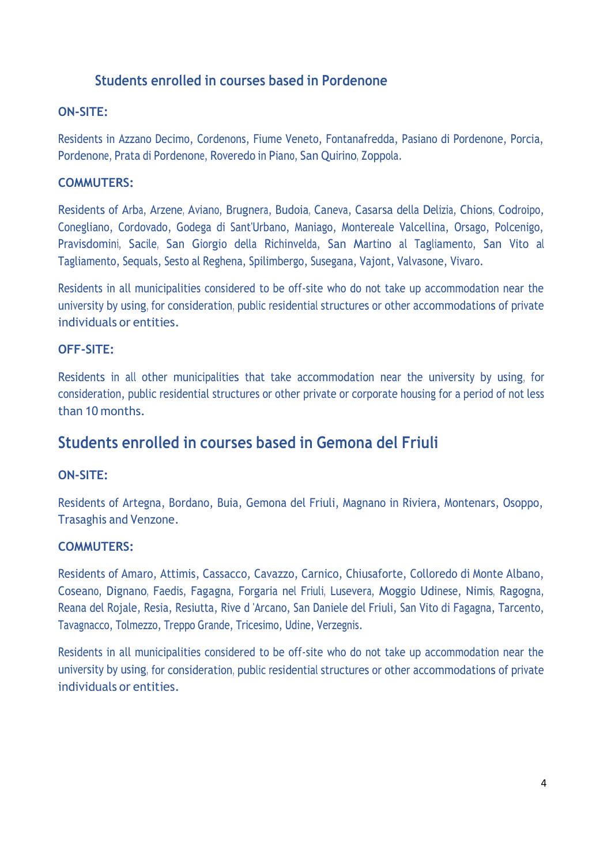### **Students enrolled in courses based in Pordenone**

#### **ON-SITE:**

Residents in Azzano Decimo, Cordenons, Fiume Veneto, Fontanafredda, Pasiano di Pordenone, Porcia, Pordenone, Prata di Pordenone, Roveredo in Piano, San Quirino, Zoppola.

#### **COMMUTERS:**

Residents of Arba, Arzene, Aviano, Brugnera, Budoia, Caneva, Casarsa della Delizia, Chions, Codroipo, Conegliano, Cordovado, Godega di Sant'Urbano, Maniago, Montereale Valcellina, Orsago, Polcenigo, Pravisdomini, Sacile, San Giorgio della Richinvelda, San Martino al Tagliamento, San Vito al Tagliamento, Sequals, Sesto al Reghena, Spilimbergo, Susegana, Vajont, Valvasone, Vivaro.

Residents in all municipalities considered to be off-site who do not take up accommodation near the university by using, for consideration, public residential structures or other accommodations of private individuals or entities.

#### **OFF-SITE:**

Residents in all other municipalities that take accommodation near the university by using, for consideration, public residential structures or other private or corporate housing for a period of not less than 10 months.

## **Students enrolled in courses based in Gemona del Friuli**

#### **ON-SITE:**

Residents of Artegna, Bordano, Buia, Gemona del Friuli, Magnano in Riviera, Montenars, Osoppo, Trasaghis and Venzone.

#### **COMMUTERS:**

Residents of Amaro, Attimis, Cassacco, Cavazzo, Carnico, Chiusaforte, Colloredo di Monte Albano, Coseano, Dignano, Faedis, Fagagna, Forgaria nel Friuli, Lusevera, Moggio Udinese, Nimis, Ragogna, Reana del Rojale, Resia, Resiutta, Rive d 'Arcano, San Daniele del Friuli, San Vito di Fagagna, Tarcento, Tavagnacco, Tolmezzo, Treppo Grande, Tricesimo, Udine, Verzegnis.

Residents in all municipalities considered to be off-site who do not take up accommodation near the university by using, for consideration, public residential structures or other accommodations of private individuals or entities.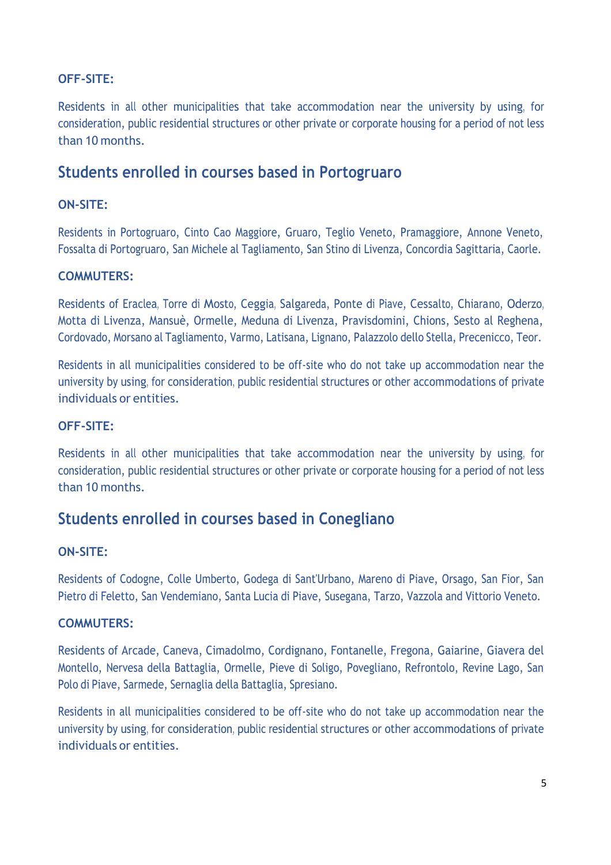#### **OFF-SITE:**

Residents in all other municipalities that take accommodation near the university by using, for consideration, public residential structures or other private or corporate housing for a period of not less than 10 months.

## **Students enrolled in courses based in Portogruaro**

#### **ON-SITE:**

Residents in Portogruaro, Cinto Cao Maggiore, Gruaro, Teglio Veneto, Pramaggiore, Annone Veneto, Fossalta di Portogruaro, San Michele al Tagliamento, San Stino di Livenza, Concordia Sagittaria, Caorle.

#### **COMMUTERS:**

Residents of Eraclea, Torre di Mosto, Ceggia, Salgareda, Ponte di Piave, Cessalto, Chiarano, Oderzo, Motta di Livenza, Mansuè, Ormelle, Meduna di Livenza, Pravisdomini, Chions, Sesto al Reghena, Cordovado, Morsano al Tagliamento, Varmo, Latisana, Lignano, Palazzolo dello Stella, Precenicco, Teor.

Residents in all municipalities considered to be off-site who do not take up accommodation near the university by using, for consideration, public residential structures or other accommodations of private individuals or entities.

#### **OFF-SITE:**

Residents in all other municipalities that take accommodation near the university by using, for consideration, public residential structures or other private or corporate housing for a period of not less than 10 months.

## **Students enrolled in courses based in Conegliano**

#### **ON-SITE:**

Residents of Codogne, Colle Umberto, Godega di Sant'Urbano, Mareno di Piave, Orsago, San Fior, San Pietro di Feletto, San Vendemiano, Santa Lucia di Piave, Susegana, Tarzo, Vazzola and Vittorio Veneto.

#### **COMMUTERS:**

Residents of Arcade, Caneva, Cimadolmo, Cordignano, Fontanelle, Fregona, Gaiarine, Giavera del Montello, Nervesa della Battaglia, Ormelle, Pieve di Soligo, Povegliano, Refrontolo, Revine Lago, San Polo di Piave, Sarmede, Sernaglia della Battaglia, Spresiano.

Residents in all municipalities considered to be off-site who do not take up accommodation near the university by using, for consideration, public residential structures or other accommodations of private individuals or entities.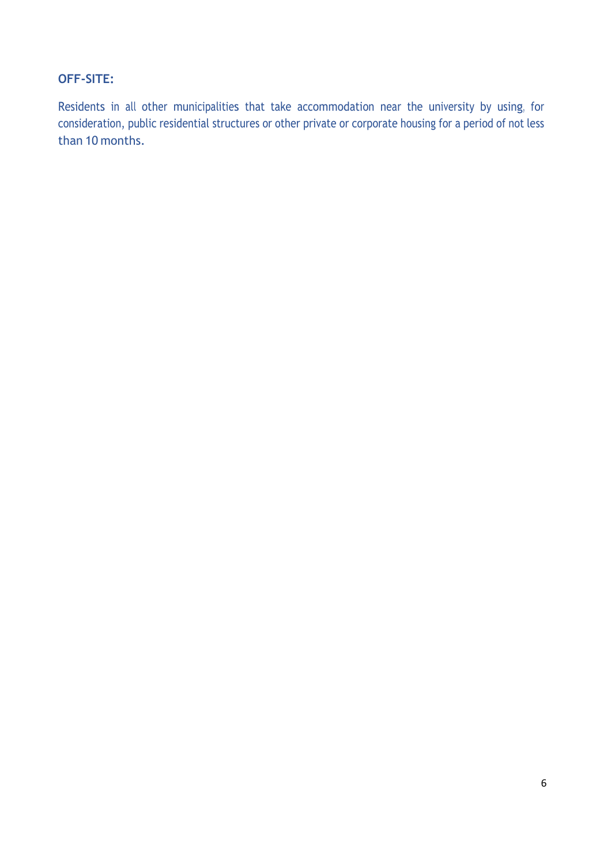#### **OFF-SITE:**

Residents in all other municipalities that take accommodation near the university by using, for consideration, public residential structures or other private or corporate housing for a period of not less than 10 months.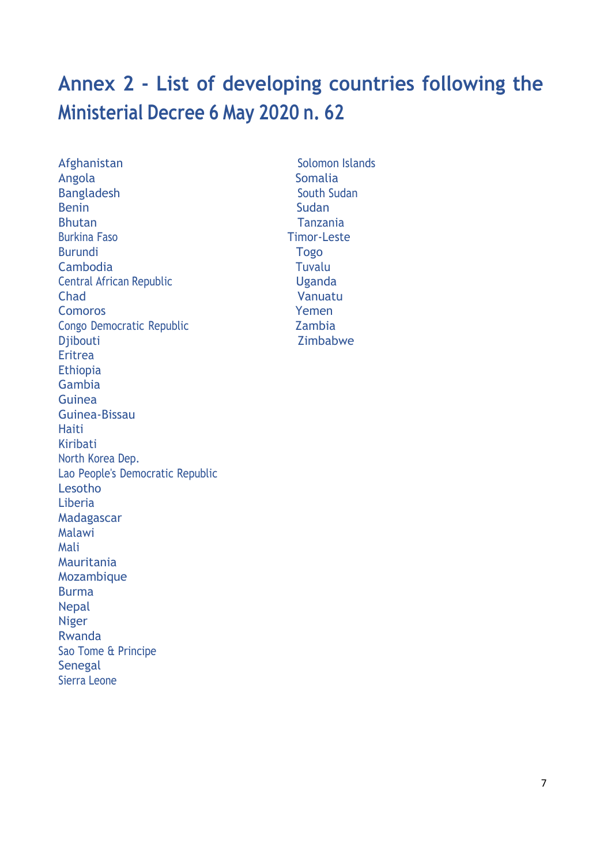## **Annex 2 - List of developing countries following the Ministerial Decree 6 May 2020 n. 62**

Afghanistan Solomon Islands Angola Somalia Bangladesh South Sudan Benin Sudan Sudan Sudan Sudan Sudan Sudan Sudan Sudan Sudan Sudan Sudan Sudan Sudan Sudan Sudan Sudan Sudan Su Bhutan Tanzania Burkina Faso Timor-Leste Burundi Togo Cambodia Tuvalu **Central African Republic Central African Republic Central African Republic Central African Contral Contral African Contral Contral Contral Contral Contral Contra** Chad Vanuatu Comoros Yemen Congo Democratic Republic **Congo Democratic Republic** Zambia Djibouti Zimbabwe Eritrea Ethiopia Gambia Guinea Guinea-Bissau Haiti Kiribati North Korea Dep. Lao People's Democratic Republic Lesotho Liberia Madagascar Malawi Mali Mauritania Mozambique Burma Nepal Niger Rwanda Sao Tome & Principe **Senegal** Sierra Leone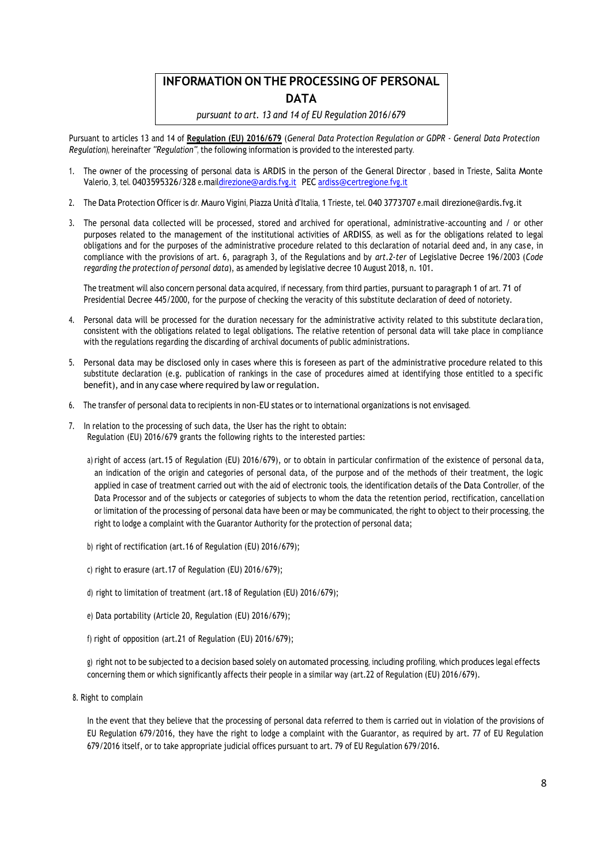## **INFORMATION ON THE PROCESSING OF PERSONAL DATA**

*pursuant to art. 13 and 14 of EU Regulation 2016/679*

Pursuant to articles 13 and 14 of **Regulation (EU) 2016/679** (*General Data Protection Regulation or GDPR - General Data Protection Regulation),* hereinafter *"Regulation"*, the following information is provided to the interested party.

- 1. The owner of the processing of personal data is ARDIS in the person of the General Director , based in Trieste, Salita Monte Valerio, 3, tel. 0403595326/328 e.ma[ildirezione@ardis.fvg.it](mailto:direzione@ardis.fvg.it) PEC [ardiss@certregione.fvg.it](mailto:ardiss@certregione.fvg.it)
- 2. The Data Protection Officer is dr. Mauro Vigini, Piazza Unità d'Italia, 1 Trieste, tel. 040 3773707 e.mail direzione@ardis.fvg.it
- 3. The personal data collected will be processed, stored and archived for operational, administrative-accounting and / or other purposes related to the management of the institutional activities of ARDISS, as well as for the obligations related to legal obligations and for the purposes of the administrative procedure related to this declaration of notarial deed and, in any case, in compliance with the provisions of art. 6, paragraph 3, of the Regulations and by *art.2-ter* of Legislative Decree 196/2003 (*Code regarding the protection of personal data*), as amended by legislative decree 10 August 2018, n. 101.

The treatment will also concern personal data acquired, if necessary, from third parties, pursuant to paragraph 1 of art. 71 of Presidential Decree 445/2000, for the purpose of checking the veracity of this substitute declaration of deed of notoriety.

- 4. Personal data will be processed for the duration necessary for the administrative activity related to this substitute declaration, consistent with the obligations related to legal obligations. The relative retention of personal data will take place in compliance with the regulations regarding the discarding of archival documents of public administrations.
- 5. Personal data may be disclosed only in cases where this is foreseen as part of the administrative procedure related to this substitute declaration (e.g. publication of rankings in the case of procedures aimed at identifying those entitled to a specific benefit), and in any case where required by law or regulation.
- 6. The transfer of personal data to recipients in non-EU states or to international organizations is not envisaged.
- 7. In relation to the processing of such data, the User has the right to obtain: Regulation (EU) 2016/679 grants the following rights to the interested parties:
	- a) right of access (art.15 of Regulation (EU) 2016/679), or to obtain in particular confirmation of the existence of personal da ta, an indication of the origin and categories of personal data, of the purpose and of the methods of their treatment, the logic applied in case of treatment carried out with the aid of electronic tools, the identification details of the Data Controller, of the Data Processor and of the subjects or categories of subjects to whom the data the retention period, rectification, cancellation or limitation of the processing of personal data have been or may be communicated, the right to object to their processing, the right to lodge a complaint with the Guarantor Authority for the protection of personal data;
	- b) right of rectification (art.16 of Regulation (EU) 2016/679);
	- c) right to erasure (art.17 of Regulation (EU) 2016/679);
	- d) right to limitation of treatment (art.18 of Regulation (EU) 2016/679);
	- e) Data portability (Article 20, Regulation (EU) 2016/679);
	- f) right of opposition (art.21 of Regulation (EU) 2016/679);

g) right not to be subjected to a decision based solely on automated processing, including profiling, which produces legal effects concerning them or which significantly affects their people in a similar way (art.22 of Regulation (EU) 2016/679).

8. Right to complain

In the event that they believe that the processing of personal data referred to them is carried out in violation of the provisions of EU Regulation 679/2016, they have the right to lodge a complaint with the Guarantor, as required by art. 77 of EU Regulation 679/2016 itself, or to take appropriate judicial offices pursuant to art. 79 of EU Regulation 679/2016.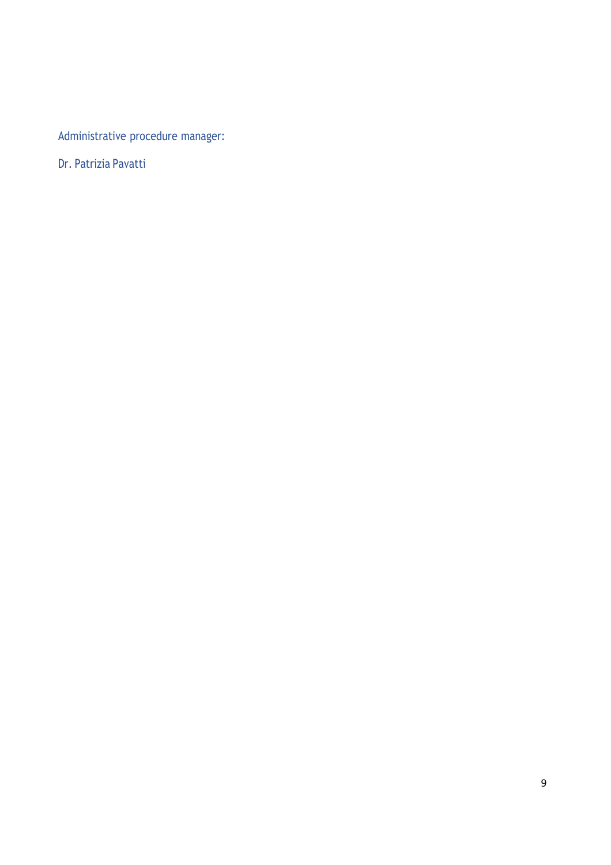Administrative procedure manager:

Dr. Patrizia Pavatti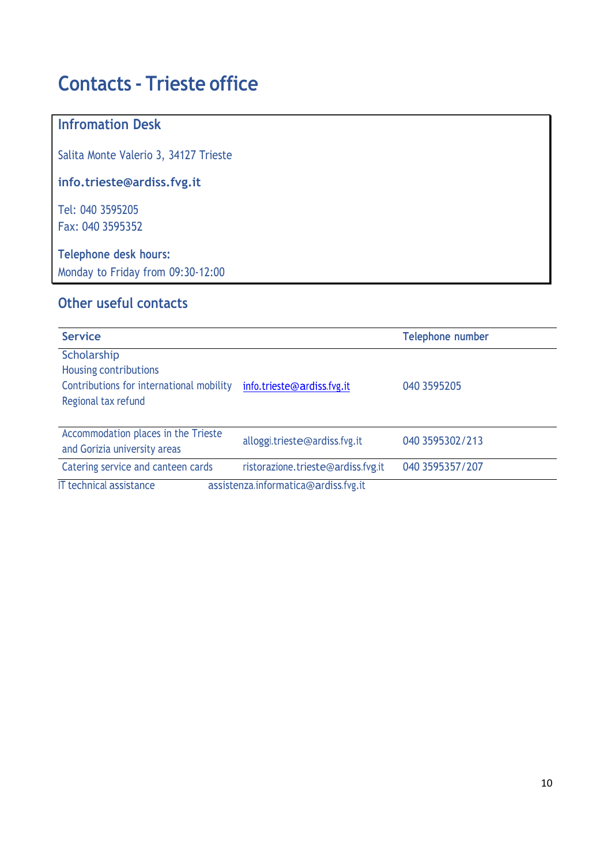## **Contacts - Trieste office**

## **Infromation Desk**

Salita Monte Valerio 3, 34127 Trieste

**[info.trieste@ardiss.fvg.it](mailto:info.trieste@ardiss.fvg.it)**

Tel: 040 3595205 Fax: 040 3595352

**Telephone desk hours:** Monday to Friday from 09:30-12:00

### **Other useful contacts**

| <b>Service</b>                                                                                          |                                      | <b>Telephone number</b> |
|---------------------------------------------------------------------------------------------------------|--------------------------------------|-------------------------|
| Scholarship<br>Housing contributions<br>Contributions for international mobility<br>Regional tax refund | info.trieste@ardiss.fvg.it           | 040 3595205             |
| Accommodation places in the Trieste<br>and Gorizia university areas                                     | alloggi.trieste@ardiss.fvg.it        | 040 3595302/213         |
| Catering service and canteen cards                                                                      | ristorazione.trieste@ardiss.fvg.it   | 040 3595357/207         |
| <b>IT technical assistance</b>                                                                          | assistenza.informatica@ardiss.fvg.it |                         |